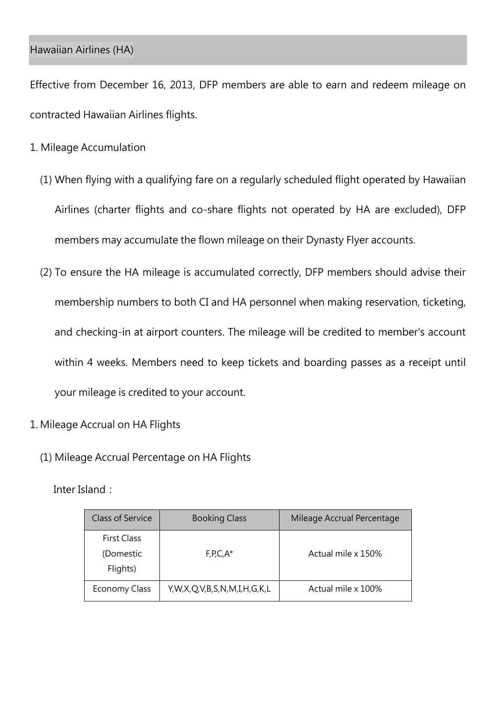## Hawaiian Airlines (HA)

Effective from December 16, 2013, DFP members are able to earn and redeem mileage on contracted Hawaiian Airlines flights.

- 1. Mileage Accumulation
	- (1) When flying with a qualifying fare on a regularly scheduled flight operated by Hawaiian Airlines (charter flights and co-share flights not operated by HA are excluded), DFP members may accumulate the flown mileage on their Dynasty Flyer accounts.
	- (2) To ensure the HA mileage is accumulated correctly, DFP members should advise their membership numbers to both CI and HA personnel when making reservation, ticketing, and checking-in at airport counters. The mileage will be credited to member's account within 4 weeks. Members need to keep tickets and boarding passes as a receipt until your mileage is credited to your account.
- 1. Mileage Accrual on HA Flights
	- (1) Mileage Accrual Percentage on HA Flights

Inter Island:

| Class of Service                            | <b>Booking Class</b>        | Mileage Accrual Percentage |
|---------------------------------------------|-----------------------------|----------------------------|
| <b>First Class</b><br>(Domestic<br>Flights) | $F, P, C, A^*$              | Actual mile x 150%         |
| Economy Class                               | Y,W,X,Q,V,B,S,N,M,I,H,G,K,L | Actual mile x 100%         |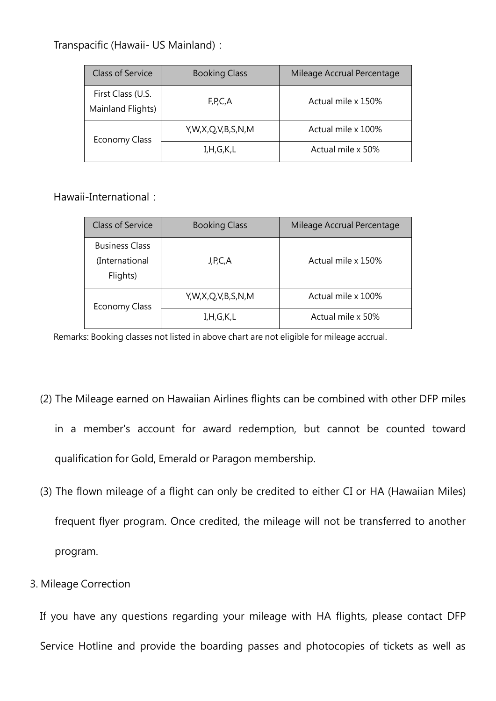Transpacific (Hawaii- US Mainland):

| <b>Class of Service</b>                | <b>Booking Class</b> | Mileage Accrual Percentage |
|----------------------------------------|----------------------|----------------------------|
| First Class (U.S.<br>Mainland Flights) | F, P, C, A           | Actual mile x 150%         |
| <b>Economy Class</b>                   | Y,W,X,Q,V,B,S,N,M    | Actual mile x 100%         |
|                                        | I, H, G, K, L        | Actual mile x 50%          |

Hawaii-International:

| <b>Class of Service</b>                             | <b>Booking Class</b> | Mileage Accrual Percentage |
|-----------------------------------------------------|----------------------|----------------------------|
| <b>Business Class</b><br>(International<br>Flights) | J,P,C,A              | Actual mile x 150%         |
| <b>Economy Class</b>                                | Y,W,X,Q,V,B,S,N,M    | Actual mile x 100%         |
|                                                     | I, H, G, K, L        | Actual mile x 50%          |

Remarks: Booking classes not listed in above chart are not eligible for mileage accrual.

- (2) The Mileage earned on Hawaiian Airlines flights can be combined with other DFP miles in a member's account for award redemption, but cannot be counted toward qualification for Gold, Emerald or Paragon membership.
- (3) The flown mileage of a flight can only be credited to either CI or HA (Hawaiian Miles) frequent flyer program. Once credited, the mileage will not be transferred to another program.
- 3. Mileage Correction

If you have any questions regarding your mileage with HA flights, please contact DFP Service Hotline and provide the boarding passes and photocopies of tickets as well as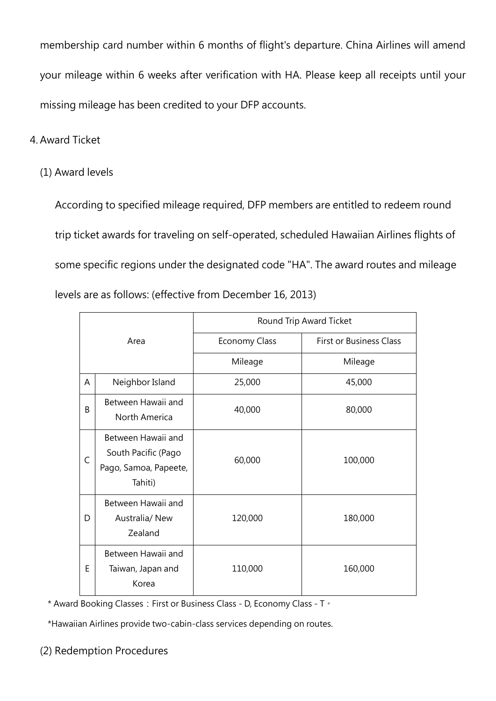membership card number within 6 months of flight's departure. China Airlines will amend your mileage within 6 weeks after verification with HA. Please keep all receipts until your missing mileage has been credited to your DFP accounts.

## 4. Award Ticket

(1) Award levels

According to specified mileage required, DFP members are entitled to redeem round trip ticket awards for traveling on self-operated, scheduled Hawaiian Airlines flights of some specific regions under the designated code "HA". The award routes and mileage levels are as follows: (effective from December 16, 2013)

| Area |                                                                               | Round Trip Award Ticket |                                |  |
|------|-------------------------------------------------------------------------------|-------------------------|--------------------------------|--|
|      |                                                                               | <b>Economy Class</b>    | <b>First or Business Class</b> |  |
|      |                                                                               | Mileage                 | Mileage                        |  |
| A    | Neighbor Island                                                               | 25,000                  | 45,000                         |  |
| B    | Between Hawaii and<br>North America                                           | 40,000                  | 80,000                         |  |
| C    | Between Hawaii and<br>South Pacific (Pago<br>Pago, Samoa, Papeete,<br>Tahiti) | 60,000                  | 100,000                        |  |
| D    | Between Hawaii and<br>Australia/ New<br>Zealand                               | 120,000                 | 180,000                        |  |
| E    | Between Hawaii and<br>Taiwan, Japan and<br>Korea                              | 110,000                 | 160,000                        |  |

\* Award Booking Classes: First or Business Class - D, Economy Class - T ·

\*Hawaiian Airlines provide two-cabin-class services depending on routes.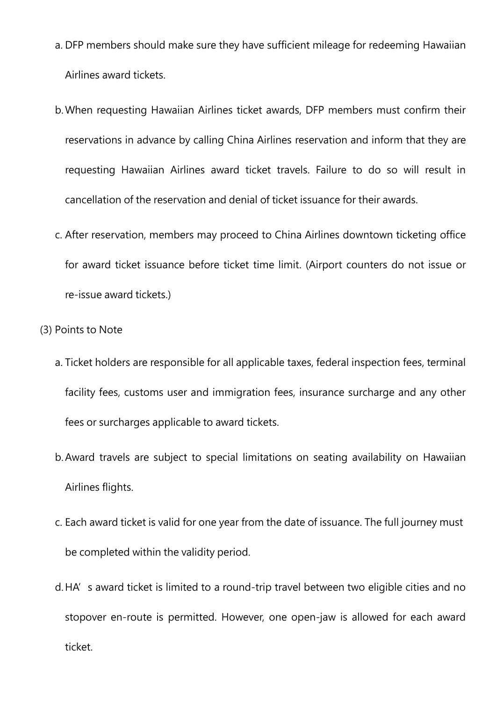- a. DFP members should make sure they have sufficient mileage for redeeming Hawaiian Airlines award tickets.
- b.When requesting Hawaiian Airlines ticket awards, DFP members must confirm their reservations in advance by calling China Airlines reservation and inform that they are requesting Hawaiian Airlines award ticket travels. Failure to do so will result in cancellation of the reservation and denial of ticket issuance for their awards.
- c. After reservation, members may proceed to China Airlines downtown ticketing office for award ticket issuance before ticket time limit. (Airport counters do not issue or re-issue award tickets.)
- (3) Points to Note
	- a. Ticket holders are responsible for all applicable taxes, federal inspection fees, terminal facility fees, customs user and immigration fees, insurance surcharge and any other fees or surcharges applicable to award tickets.
	- b.Award travels are subject to special limitations on seating availability on Hawaiian Airlines flights.
	- c. Each award ticket is valid for one year from the date of issuance. The full journey must be completed within the validity period.
	- d. HA's award ticket is limited to a round-trip travel between two eligible cities and no stopover en-route is permitted. However, one open-jaw is allowed for each award ticket.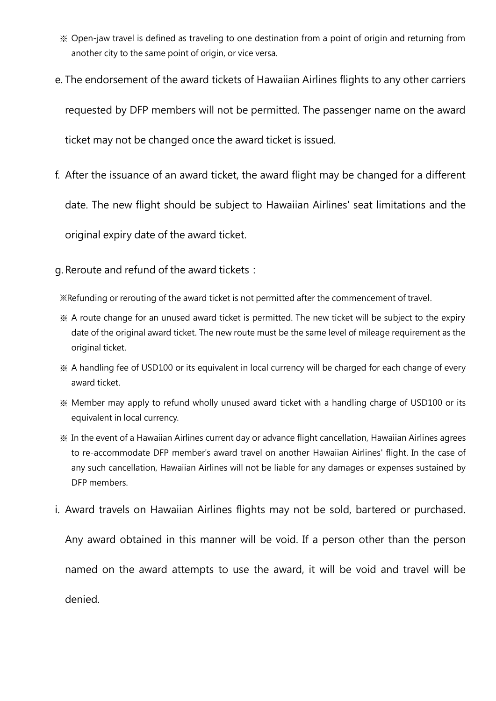- ※ Open-jaw travel is defined as traveling to one destination from a point of origin and returning from another city to the same point of origin, or vice versa.
- e. The endorsement of the award tickets of Hawaiian Airlines flights to any other carriers requested by DFP members will not be permitted. The passenger name on the award ticket may not be changed once the award ticket is issued.
- f. After the issuance of an award ticket, the award flight may be changed for a different date. The new flight should be subject to Hawaiian Airlines' seat limitations and the original expiry date of the award ticket.

g. Reroute and refund of the award tickets:

※Refunding or rerouting of the award ticket is not permitted after the commencement of travel.

- ※ A route change for an unused award ticket is permitted. The new ticket will be subject to the expiry date of the original award ticket. The new route must be the same level of mileage requirement as the original ticket.
- ※ A handling fee of USD100 or its equivalent in local currency will be charged for each change of every award ticket.
- ※ Member may apply to refund wholly unused award ticket with a handling charge of USD100 or its equivalent in local currency.
- ※ In the event of a Hawaiian Airlines current day or advance flight cancellation, Hawaiian Airlines agrees to re-accommodate DFP member's award travel on another Hawaiian Airlines' flight. In the case of any such cancellation, Hawaiian Airlines will not be liable for any damages or expenses sustained by DFP members.
- i. Award travels on Hawaiian Airlines flights may not be sold, bartered or purchased.

Any award obtained in this manner will be void. If a person other than the person named on the award attempts to use the award, it will be void and travel will be denied.